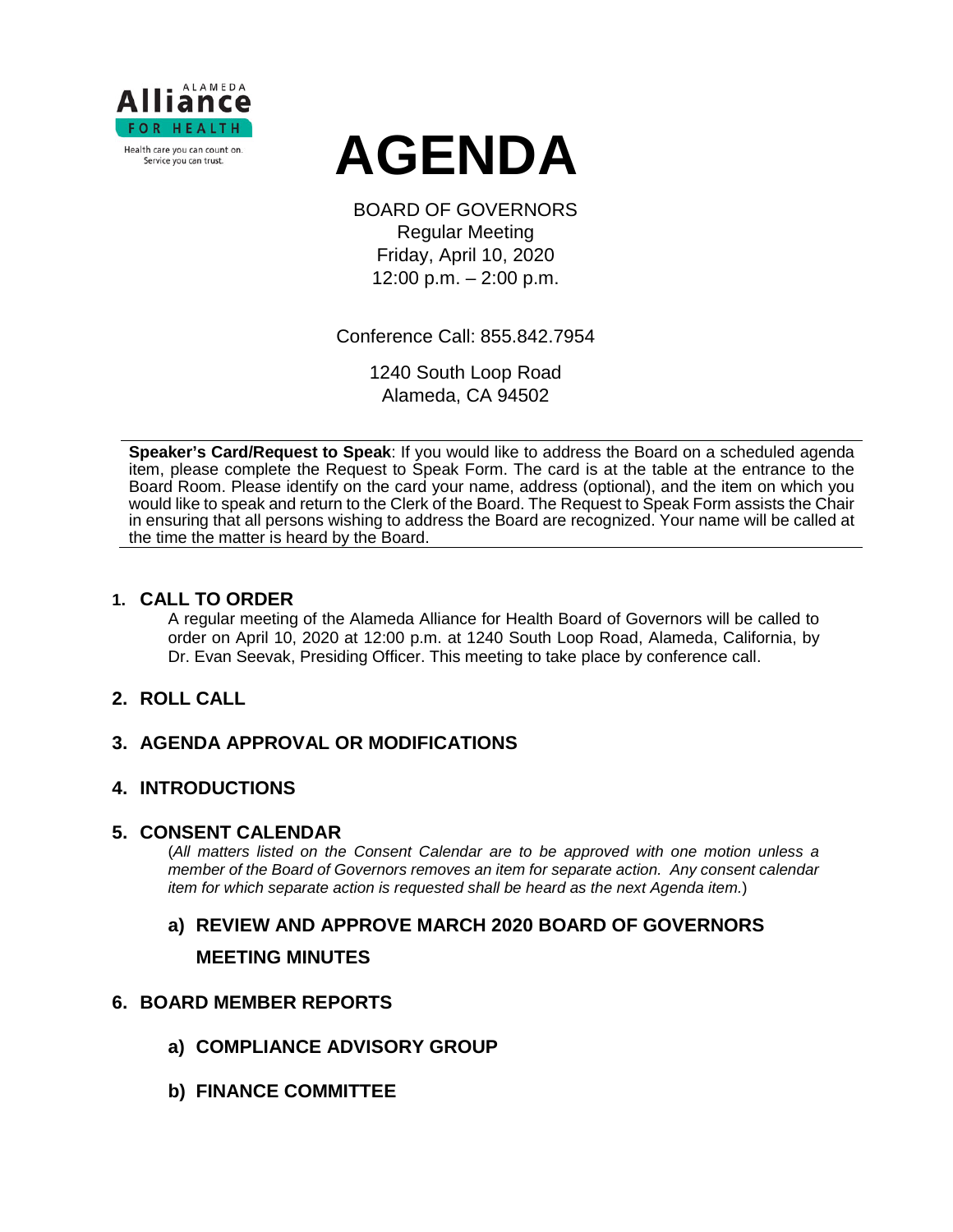



BOARD OF GOVERNORS Regular Meeting Friday, April 10, 2020 12:00 p.m. – 2:00 p.m.

Conference Call: 855.842.7954

1240 South Loop Road Alameda, CA 94502

**Speaker's Card/Request to Speak**: If you would like to address the Board on a scheduled agenda item, please complete the Request to Speak Form. The card is at the table at the entrance to the Board Room. Please identify on the card your name, address (optional), and the item on which you would like to speak and return to the Clerk of the Board. The Request to Speak Form assists the Chair in ensuring that all persons wishing to address the Board are recognized. Your name will be called at the time the matter is heard by the Board.

### **1. CALL TO ORDER**

A regular meeting of the Alameda Alliance for Health Board of Governors will be called to order on April 10, 2020 at 12:00 p.m. at 1240 South Loop Road, Alameda, California, by Dr. Evan Seevak, Presiding Officer. This meeting to take place by conference call.

# **2. ROLL CALL**

# **3. AGENDA APPROVAL OR MODIFICATIONS**

# **4. INTRODUCTIONS**

### **5. CONSENT CALENDAR**

(*All matters listed on the Consent Calendar are to be approved with one motion unless a member of the Board of Governors removes an item for separate action. Any consent calendar item for which separate action is requested shall be heard as the next Agenda item.*)

# **a) REVIEW AND APPROVE MARCH 2020 BOARD OF GOVERNORS MEETING MINUTES**

### **6. BOARD MEMBER REPORTS**

- **a) COMPLIANCE ADVISORY GROUP**
- **b) FINANCE COMMITTEE**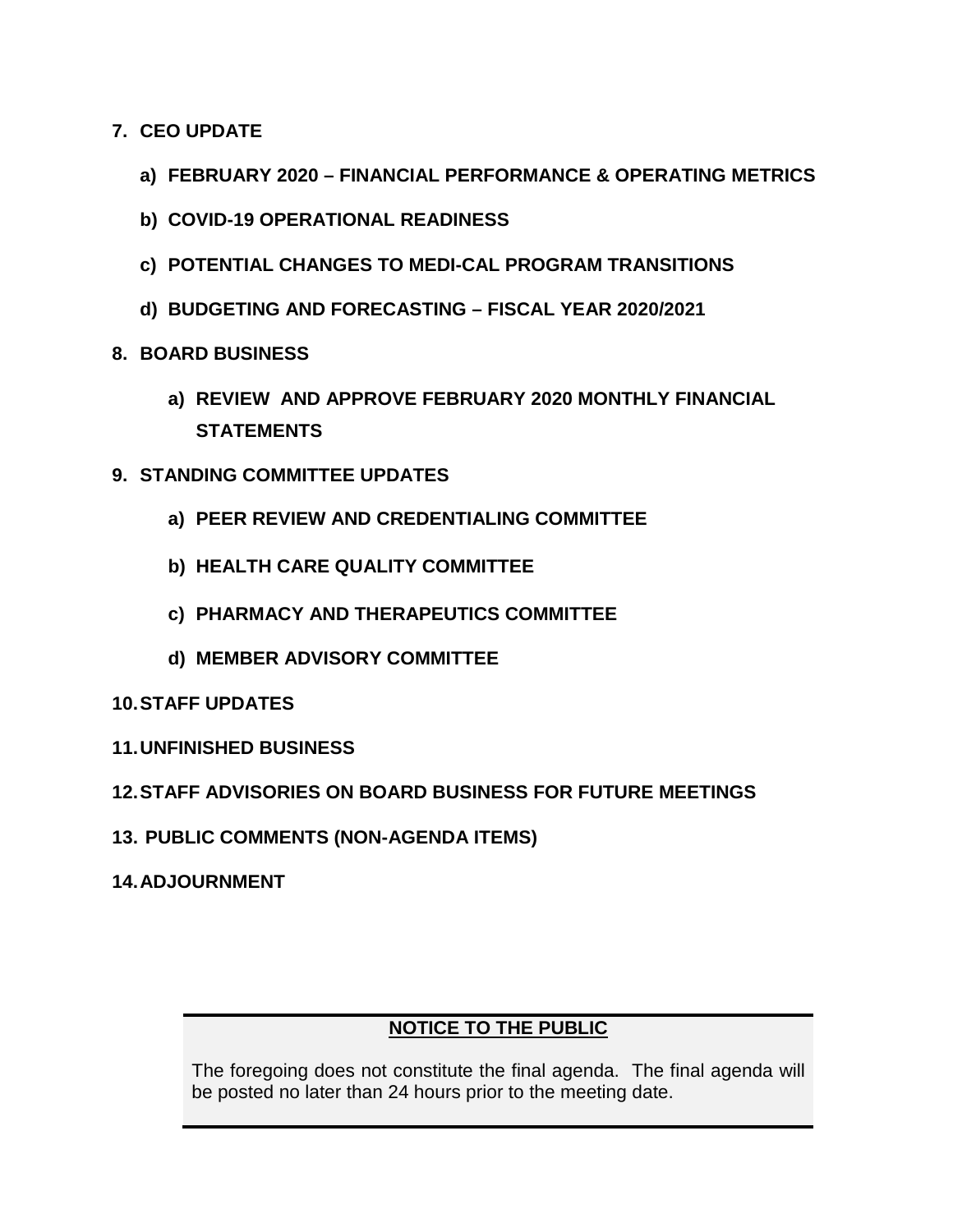- **7. CEO UPDATE**
	- **a) FEBRUARY 2020 – FINANCIAL PERFORMANCE & OPERATING METRICS**
	- **b) COVID-19 OPERATIONAL READINESS**
	- **c) POTENTIAL CHANGES TO MEDI-CAL PROGRAM TRANSITIONS**
	- **d) BUDGETING AND FORECASTING – FISCAL YEAR 2020/2021**
- **8. BOARD BUSINESS**
	- **a) REVIEW AND APPROVE FEBRUARY 2020 MONTHLY FINANCIAL STATEMENTS**
- **9. STANDING COMMITTEE UPDATES**
	- **a) PEER REVIEW AND CREDENTIALING COMMITTEE**
	- **b) HEALTH CARE QUALITY COMMITTEE**
	- **c) PHARMACY AND THERAPEUTICS COMMITTEE**
	- **d) MEMBER ADVISORY COMMITTEE**

# **10.STAFF UPDATES**

- **11.UNFINISHED BUSINESS**
- **12.STAFF ADVISORIES ON BOARD BUSINESS FOR FUTURE MEETINGS**
- **13. PUBLIC COMMENTS (NON-AGENDA ITEMS)**
- **14.ADJOURNMENT**

# **NOTICE TO THE PUBLIC**

The foregoing does not constitute the final agenda. The final agenda will be posted no later than 24 hours prior to the meeting date.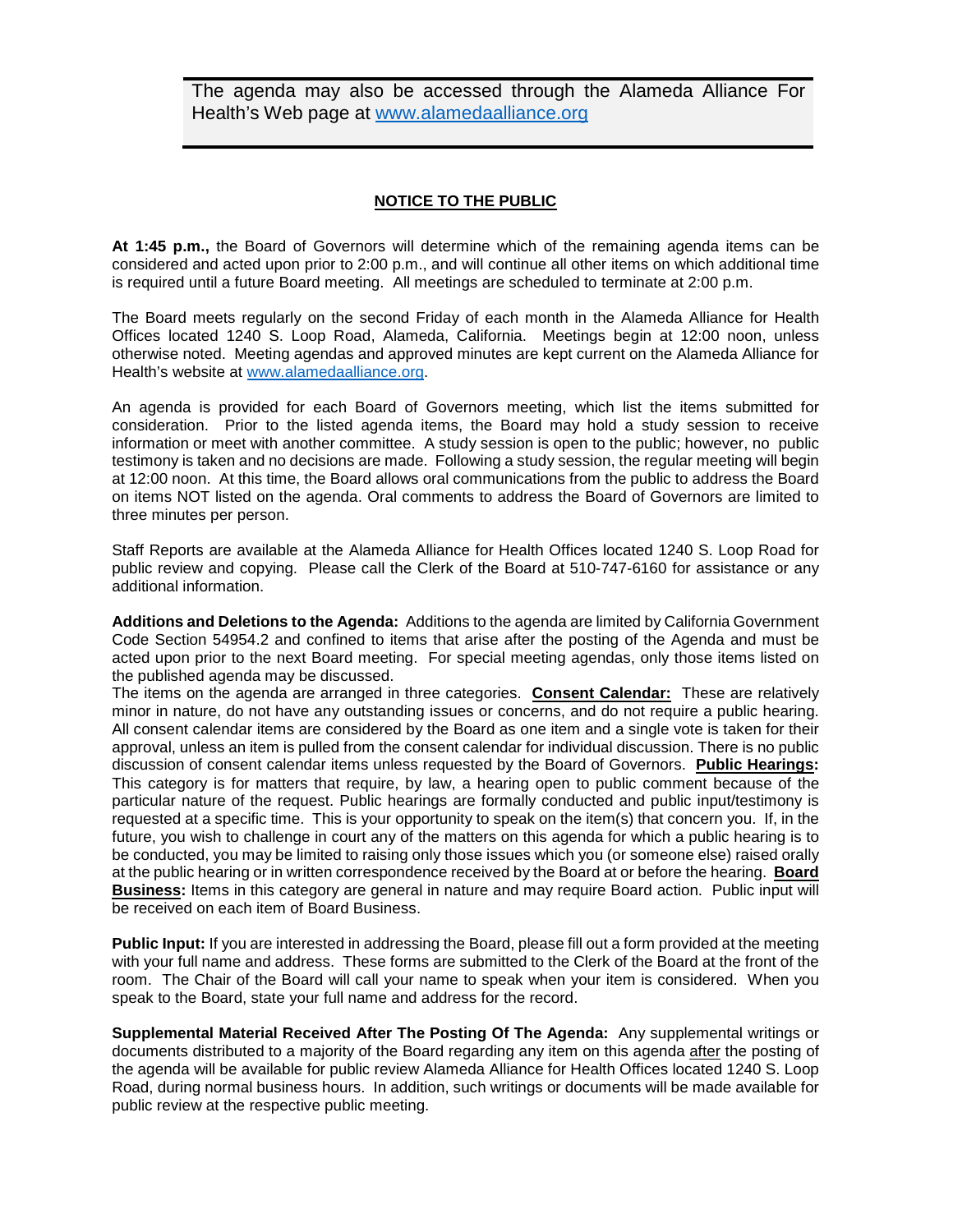The agenda may also be accessed through the Alameda Alliance For Health's Web page at [www.alamedaalliance.org](http://www.alamedaalliance.org/)

#### **NOTICE TO THE PUBLIC**

**At 1:45 p.m.,** the Board of Governors will determine which of the remaining agenda items can be considered and acted upon prior to 2:00 p.m., and will continue all other items on which additional time is required until a future Board meeting. All meetings are scheduled to terminate at 2:00 p.m.

The Board meets regularly on the second Friday of each month in the Alameda Alliance for Health Offices located 1240 S. Loop Road, Alameda, California. Meetings begin at 12:00 noon, unless otherwise noted. Meeting agendas and approved minutes are kept current on the Alameda Alliance for Health's website at [www.alamedaalliance.org.](http://www.alamedaalliance.org/)

An agenda is provided for each Board of Governors meeting, which list the items submitted for consideration. Prior to the listed agenda items, the Board may hold a study session to receive information or meet with another committee. A study session is open to the public; however, no public testimony is taken and no decisions are made. Following a study session, the regular meeting will begin at 12:00 noon. At this time, the Board allows oral communications from the public to address the Board on items NOT listed on the agenda. Oral comments to address the Board of Governors are limited to three minutes per person.

Staff Reports are available at the Alameda Alliance for Health Offices located 1240 S. Loop Road for public review and copying. Please call the Clerk of the Board at 510-747-6160 for assistance or any additional information.

**Additions and Deletions to the Agenda:** Additions to the agenda are limited by California Government Code Section 54954.2 and confined to items that arise after the posting of the Agenda and must be acted upon prior to the next Board meeting. For special meeting agendas, only those items listed on the published agenda may be discussed.

The items on the agenda are arranged in three categories. **Consent Calendar:** These are relatively minor in nature, do not have any outstanding issues or concerns, and do not require a public hearing. All consent calendar items are considered by the Board as one item and a single vote is taken for their approval, unless an item is pulled from the consent calendar for individual discussion. There is no public discussion of consent calendar items unless requested by the Board of Governors. **Public Hearings:** This category is for matters that require, by law, a hearing open to public comment because of the particular nature of the request. Public hearings are formally conducted and public input/testimony is requested at a specific time. This is your opportunity to speak on the item(s) that concern you. If, in the future, you wish to challenge in court any of the matters on this agenda for which a public hearing is to be conducted, you may be limited to raising only those issues which you (or someone else) raised orally at the public hearing or in written correspondence received by the Board at or before the hearing. **Board Business:** Items in this category are general in nature and may require Board action. Public input will be received on each item of Board Business.

**Public Input:** If you are interested in addressing the Board, please fill out a form provided at the meeting with your full name and address. These forms are submitted to the Clerk of the Board at the front of the room. The Chair of the Board will call your name to speak when your item is considered. When you speak to the Board, state your full name and address for the record.

**Supplemental Material Received After The Posting Of The Agenda:** Any supplemental writings or documents distributed to a majority of the Board regarding any item on this agenda after the posting of the agenda will be available for public review Alameda Alliance for Health Offices located 1240 S. Loop Road, during normal business hours. In addition, such writings or documents will be made available for public review at the respective public meeting.